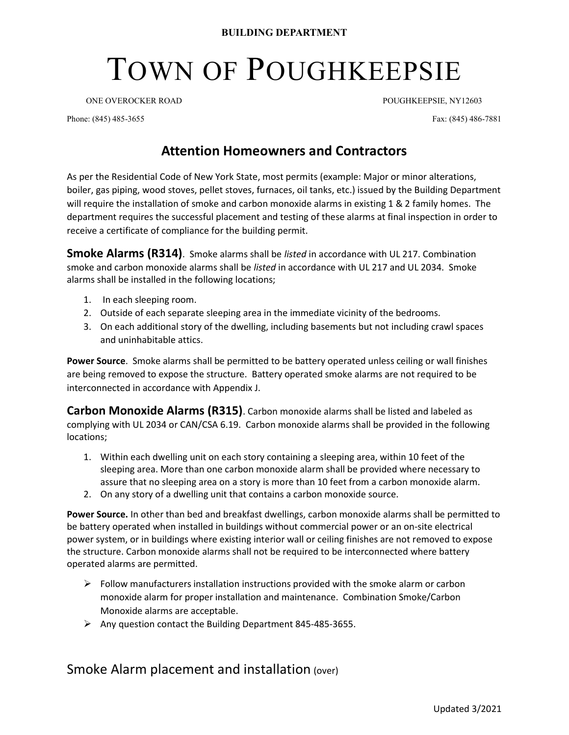## TOWN OF POUGHKEEPSIE

ONE OVEROCKER ROAD POUGHKEEPSIE, NY12603

Phone: (845) 485-3655 Fax: (845) 486-7881

## Attention Homeowners and Contractors

As per the Residential Code of New York State, most permits (example: Major or minor alterations, boiler, gas piping, wood stoves, pellet stoves, furnaces, oil tanks, etc.) issued by the Building Department will require the installation of smoke and carbon monoxide alarms in existing 1 & 2 family homes. The department requires the successful placement and testing of these alarms at final inspection in order to receive a certificate of compliance for the building permit.

**Smoke Alarms (R314)**. Smoke alarms shall be listed in accordance with UL 217. Combination smoke and carbon monoxide alarms shall be listed in accordance with UL 217 and UL 2034. Smoke alarms shall be installed in the following locations;

- 1. In each sleeping room.
- 2. Outside of each separate sleeping area in the immediate vicinity of the bedrooms.
- 3. On each additional story of the dwelling, including basements but not including crawl spaces and uninhabitable attics.

Power Source. Smoke alarms shall be permitted to be battery operated unless ceiling or wall finishes are being removed to expose the structure. Battery operated smoke alarms are not required to be interconnected in accordance with Appendix J.

**Carbon Monoxide Alarms (R315)**. Carbon monoxide alarms shall be listed and labeled as complying with UL 2034 or CAN/CSA 6.19. Carbon monoxide alarms shall be provided in the following locations;

- 1. Within each dwelling unit on each story containing a sleeping area, within 10 feet of the sleeping area. More than one carbon monoxide alarm shall be provided where necessary to assure that no sleeping area on a story is more than 10 feet from a carbon monoxide alarm.
- 2. On any story of a dwelling unit that contains a carbon monoxide source.

Power Source. In other than bed and breakfast dwellings, carbon monoxide alarms shall be permitted to be battery operated when installed in buildings without commercial power or an on-site electrical power system, or in buildings where existing interior wall or ceiling finishes are not removed to expose the structure. Carbon monoxide alarms shall not be required to be interconnected where battery operated alarms are permitted.

- $\triangleright$  Follow manufacturers installation instructions provided with the smoke alarm or carbon monoxide alarm for proper installation and maintenance. Combination Smoke/Carbon Monoxide alarms are acceptable.
- $\triangleright$  Any question contact the Building Department 845-485-3655.

Smoke Alarm placement and installation (over)